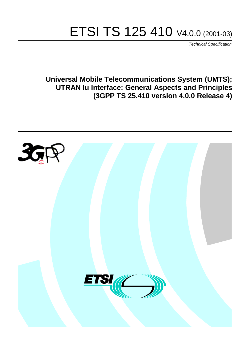# ETSI TS 125 410 V4.0.0 (2001-03)

Technical Specification

**Universal Mobile Telecommunications System (UMTS); UTRAN Iu Interface: General Aspects and Principles (3GPP TS 25.410 version 4.0.0 Release 4)**

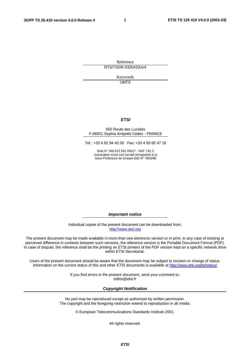**1**

Reference RTS/TSGR-0325410Uv4

> Keywords **UMTS**

#### **ETSI**

#### 650 Route des Lucioles F-06921 Sophia Antipolis Cedex - FRANCE

Tel.: +33 4 92 94 42 00 Fax: +33 4 93 65 47 16

Siret N° 348 623 562 00017 - NAF 742 C Association à but non lucratif enregistrée à la Sous-Préfecture de Grasse (06) N° 7803/88

**Important notice**

Individual copies of the present document can be downloaded from: [http://www.etsi.org](http://www.etsi.org/)

The present document may be made available in more than one electronic version or in print. In any case of existing or perceived difference in contents between such versions, the reference version is the Portable Document Format (PDF). In case of dispute, the reference shall be the printing on ETSI printers of the PDF version kept on a specific network drive within ETSI Secretariat.

Users of the present document should be aware that the document may be subject to revision or change of status. Information on the current status of this and other ETSI documents is available at <http://www.etsi.org/tb/status>/

> If you find errors in the present document, send your comment to: <editor@etsi.fr>

#### **Copyright Notification**

No part may be reproduced except as authorized by written permission. The copyright and the foregoing restriction extend to reproduction in all media.

© European Telecommunications Standards Institute 2001.

All rights reserved.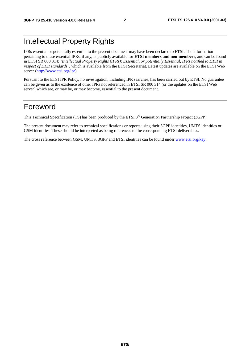## Intellectual Property Rights

IPRs essential or potentially essential to the present document may have been declared to ETSI. The information pertaining to these essential IPRs, if any, is publicly available for **ETSI members and non-members**, and can be found in ETSI SR 000 314: *"Intellectual Property Rights (IPRs); Essential, or potentially Essential, IPRs notified to ETSI in respect of ETSI standards"*, which is available from the ETSI Secretariat. Latest updates are available on the ETSI Web server [\(http://www.etsi.org/ipr\)](http://www.etsi.org/ipr).

Pursuant to the ETSI IPR Policy, no investigation, including IPR searches, has been carried out by ETSI. No guarantee can be given as to the existence of other IPRs not referenced in ETSI SR 000 314 (or the updates on the ETSI Web server) which are, or may be, or may become, essential to the present document.

## Foreword

This Technical Specification (TS) has been produced by the ETSI 3<sup>rd</sup> Generation Partnership Project (3GPP).

The present document may refer to technical specifications or reports using their 3GPP identities, UMTS identities or GSM identities. These should be interpreted as being references to the corresponding ETSI deliverables.

The cross reference between GSM, UMTS, 3GPP and ETSI identities can be found under [www.etsi.org/key](http://www.etsi.org/key) .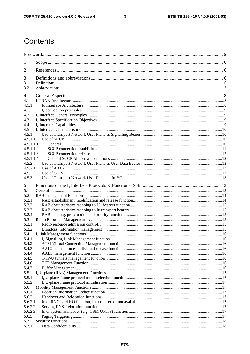$\overline{\mathbf{3}}$ 

## Contents

| $\perp$                |  |
|------------------------|--|
| 2                      |  |
| 3                      |  |
| 3.1                    |  |
| 3.2                    |  |
| 4                      |  |
| 4.1                    |  |
| 4.1.1                  |  |
| 4.1.2                  |  |
| 4.2                    |  |
| 4.3                    |  |
| 4.4                    |  |
| 4.5                    |  |
| 4.5.1                  |  |
| 4.5.1.1                |  |
| 4.5.1.1.1              |  |
| 4.5.1.1.2<br>4.5.1.1.3 |  |
| 4.5.1.1.4              |  |
| 4.5.2                  |  |
| 4.5.2.1                |  |
| 4.5.2.2                |  |
| 4.5.3                  |  |
| 5                      |  |
| 5.1                    |  |
| 5.2                    |  |
| 5.2.1                  |  |
| 5.2.2                  |  |
| 5.2.3                  |  |
| 5.2.4                  |  |
| 5.3                    |  |
| 5.3.1                  |  |
| 5.3.2                  |  |
| 5.4                    |  |
| 5.4.1<br>5.4.2         |  |
| 5.4.3                  |  |
| 5.4.4                  |  |
| 5.4.5                  |  |
| 5.4.6                  |  |
| 5.4.7                  |  |
| 5.5                    |  |
| 5.5.1                  |  |
| 5.5.2                  |  |
| 5.6                    |  |
| 5.6.1<br>5.6.2         |  |
| 5.6.2.1                |  |
| 5.6.2.2                |  |
| 5.6.2.3                |  |
| 5.6.3                  |  |
| 5.7                    |  |
| 5.7.1                  |  |
|                        |  |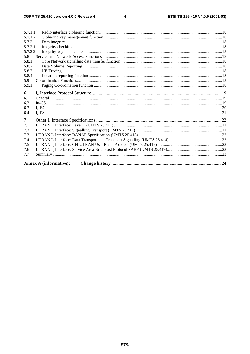$\overline{\mathbf{4}}$ 

| 5.7.1.1        |                               |  |  |  |
|----------------|-------------------------------|--|--|--|
| 5.7.1.2        |                               |  |  |  |
| 5.7.2          |                               |  |  |  |
| 5.7.2.1        |                               |  |  |  |
| 5.7.2.2        |                               |  |  |  |
| 5.8            |                               |  |  |  |
| 5.8.1          |                               |  |  |  |
| 5.8.2          |                               |  |  |  |
| 5.8.3          |                               |  |  |  |
| 5.8.4          |                               |  |  |  |
| 5.9            |                               |  |  |  |
| 5.9.1          |                               |  |  |  |
| 6              |                               |  |  |  |
| 6.1            |                               |  |  |  |
| 6.2            |                               |  |  |  |
| 6.3            |                               |  |  |  |
| 6.4            |                               |  |  |  |
|                |                               |  |  |  |
| $\overline{7}$ |                               |  |  |  |
| 7.1            |                               |  |  |  |
| 7.2            |                               |  |  |  |
| 7.3            |                               |  |  |  |
| 7.4            |                               |  |  |  |
| 7.5            |                               |  |  |  |
| 7.6            |                               |  |  |  |
| 7.7            |                               |  |  |  |
|                |                               |  |  |  |
|                | <b>Annex A (informative):</b> |  |  |  |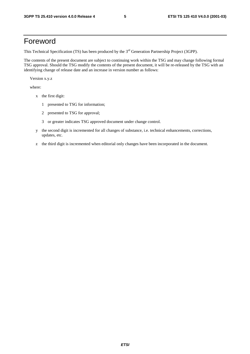## Foreword

This Technical Specification (TS) has been produced by the 3<sup>rd</sup> Generation Partnership Project (3GPP).

The contents of the present document are subject to continuing work within the TSG and may change following formal TSG approval. Should the TSG modify the contents of the present document, it will be re-released by the TSG with an identifying change of release date and an increase in version number as follows:

Version x.y.z

where:

- x the first digit:
	- 1 presented to TSG for information;
	- 2 presented to TSG for approval;
	- 3 or greater indicates TSG approved document under change control.
- y the second digit is incremented for all changes of substance, i.e. technical enhancements, corrections, updates, etc.
- z the third digit is incremented when editorial only changes have been incorporated in the document.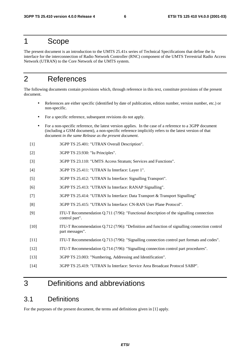## 1 Scope

The present document is an introduction to the UMTS 25.41x series of Technical Specifications that define the Iu interface for the interconnection of Radio Network Controller (RNC) component of the UMTS Terrestrial Radio Access Network (UTRAN) to the Core Network of the UMTS system.

## 2 References

The following documents contain provisions which, through reference in this text, constitute provisions of the present document.

- References are either specific (identified by date of publication, edition number, version number, etc.) or non-specific.
- For a specific reference, subsequent revisions do not apply.
- For a non-specific reference, the latest version applies. In the case of a reference to a 3GPP document (including a GSM document), a non-specific reference implicitly refers to the latest version of that document *in the same Release as the present document*.
- [1] 3GPP TS 25.401: "UTRAN Overall Description".
- [2] 3GPP TS 23.930: "Iu Principles".
- [3] 3GPP TS 23.110: "UMTS Access Stratum; Services and Functions".
- [4] 3GPP TS 25.411: "UTRAN Iu Interface: Layer 1".
- [5] 3GPP TS 25.412: "UTRAN Iu Interface: Signalling Transport".
- [6] 3GPP TS 25.413: "UTRAN Iu Interface: RANAP Signalling".
- [7] 3GPP TS 25.414: "UTRAN Iu Interface: Data Transport & Transport Signalling"
- [8] 3GPP TS 25.415: "UTRAN Iu Interface: CN-RAN User Plane Protocol".
- [9] ITU-T Recommendation Q.711 (7/96): "Functional description of the signalling connection control part".
- [10] ITU-T Recommendation Q.712 (7/96): "Definition and function of signalling connection control part messages".
- [11] ITU-T Recommendation Q.713 (7/96): "Signalling connection control part formats and codes".
- [12] ITU-T Recommendation Q.714 (7/96): "Signalling connection control part procedures".
- [13] 3GPP TS 23.003: "Numbering, Addressing and Identification".
- [14] 3GPP TS 25.419: "UTRAN Iu Interface: Service Area Broadcast Protocol SABP".

## 3 Definitions and abbreviations

### 3.1 Definitions

For the purposes of the present document, the terms and definitions given in [1] apply.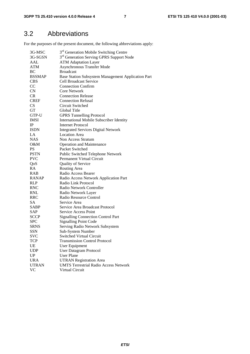## 3.2 Abbreviations

For the purposes of the present document, the following abbreviations apply:

| 3G-MSC        | 3 <sup>rd</sup> Generation Mobile Switching Centre   |
|---------------|------------------------------------------------------|
| 3G-SGSN       | 3 <sup>rd</sup> Generation Serving GPRS Support Node |
| AAL           | <b>ATM Adaptation Layer</b>                          |
| <b>ATM</b>    | <b>Asynchronous Transfer Mode</b>                    |
| BC            | <b>Broadcast</b>                                     |
| <b>BSSMAP</b> | Base Station Subsystem Management Application Part   |
| <b>CBS</b>    | <b>Cell Broadcast Service</b>                        |
| CC            | <b>Connection Confirm</b>                            |
| CN            | <b>Core Network</b>                                  |
| <b>CR</b>     | <b>Connection Release</b>                            |
| <b>CREF</b>   | <b>Connection Refusal</b>                            |
| <b>CS</b>     | Circuit Switched                                     |
| GT            | Global Title                                         |
| GTP-U         | <b>GPRS Tunnelling Protocol</b>                      |
| <b>IMSI</b>   | International Mobile Subscriber Identity             |
| IP            | Internet Protocol                                    |
| <b>ISDN</b>   | <b>Integrated Services Digital Network</b>           |
| LA            | <b>Location Area</b>                                 |
| <b>NAS</b>    | Non Access Stratum                                   |
| O&M           | <b>Operation and Maintenance</b>                     |
| <b>PS</b>     | Packet Switched                                      |
| <b>PSTN</b>   | Public Switched Telephone Network                    |
| <b>PVC</b>    | Permanent Virtual Circuit                            |
| QoS           | Quality of Service                                   |
| RA            | Routing Area                                         |
| <b>RAB</b>    | Radio Access Bearer                                  |
| <b>RANAP</b>  | Radio Access Network Application Part                |
| RLP           | Radio Link Protocol                                  |
| <b>RNC</b>    | Radio Network Controller                             |
| <b>RNL</b>    | Radio Network Layer                                  |
| <b>RRC</b>    | Radio Resource Control                               |
| SA            | Service Area                                         |
| SABP          | Service Area Broadcast Protocol                      |
| SAP           | <b>Service Access Point</b>                          |
| <b>SCCP</b>   | <b>Signalling Connection Control Part</b>            |
| <b>SPC</b>    | <b>Signalling Point Code</b>                         |
| <b>SRNS</b>   | Serving Radio Network Subsystem                      |
| <b>SSN</b>    | Sub-System Number                                    |
| <b>SVC</b>    | <b>Switched Virtual Circuit</b>                      |
| <b>TCP</b>    | <b>Transmission Control Protocol</b>                 |
| UE            | User Equipment                                       |
| <b>UDP</b>    | <b>User Datagram Protocol</b>                        |
| UP            | <b>User Plane</b>                                    |
| <b>URA</b>    | <b>UTRAN Registration Area</b>                       |
| <b>UTRAN</b>  | <b>UMTS Terrestrial Radio Access Network</b>         |
| <b>VC</b>     | Virtual Circuit                                      |
|               |                                                      |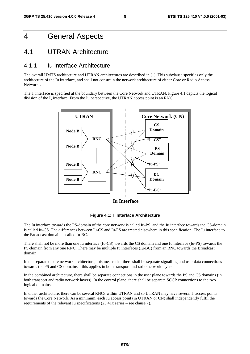## 4 General Aspects

### 4.1 UTRAN Architecture

#### 4.1.1 Iu Interface Architecture

The overall UMTS architecture and UTRAN architectures are described in [1]. This subclause specifies only the architecture of the Iu interface, and shall not constrain the network architecture of either Core or Radio Access Networks.

The  $I_{\text{u}}$  interface is specified at the boundary between the Core Network and UTRAN. Figure 4.1 depicts the logical division of the  $I_u$  interface. From the Iu perspective, the UTRAN access point is an RNC.



**Iu Interface**



The Iu interface towards the PS-domain of the core network is called Iu-PS, and the Iu interface towards the CS-domain is called Iu-CS. The differences between Iu-CS and Iu-PS are treated elsewhere in this specification. The Iu interface to the Broadcast domain is called Iu-BC.

There shall not be more than one Iu interface (Iu-CS) towards the CS domain and one Iu interface (Iu-PS) towards the PS-domain from any one RNC. There may be multiple Iu interfaces (Iu-BC) from an RNC towards the Broadcast domain.

In the separated core network architecture, this means that there shall be separate signalling and user data connections towards the PS and CS domains – this applies in both transport and radio network layers.

In the combined architecture, there shall be separate connections in the user plane towards the PS and CS domains (in both transport and radio network layers). In the control plane, there shall be separate SCCP connections to the two logical domains.

In either architecture, there can be several RNCs within UTRAN and so UTRAN may have several  $I<sub>u</sub>$  access points towards the Core Network. As a minimum, each Iu access point (in UTRAN or CN) shall independently fulfil the requirements of the relevant Iu specifications (25.41x series – see clause 7).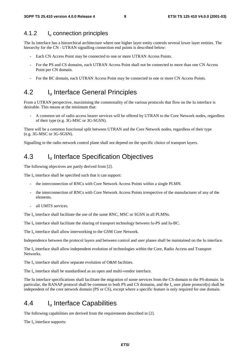### 4.1.2 I<sub>u</sub> connection principles

The Iu interface has a hierarchical architecture where one higher layer entity controls several lower layer entities. The hierarchy for the CN - UTRAN signalling connection end points is described below:

- Each CN Access Point may be connected to one or more UTRAN Access Points.
- For the PS and CS domains, each UTRAN Access Point shall not be connected to more than one CN Access Point per CN domain.
- For the BC domain, each UTRAN Access Point may be connected to one or more CN Access Points.

## 4.2 I<sub>u</sub> Interface General Principles

From a UTRAN perspective, maximising the commonality of the various protocols that flow on the Iu interface is desirable. This means at the minimum that:

- A common set of radio access bearer services will be offered by UTRAN to the Core Network nodes, regardless of their type (e.g. 3G-MSC or 3G-SGSN).

There will be a common functional split between UTRAN and the Core Network nodes, regardless of their type (e.g. 3G-MSC or 3G-SGSN).

Signalling in the radio network control plane shall not depend on the specific choice of transport layers.

## 4.3 I<sub>u</sub> Interface Specification Objectives

The following objectives are partly derived from [2].

The  $I_{\text{u}}$  interface shall be specified such that it can support:

- the interconnection of RNCs with Core Network Access Points within a single PLMN.
- the interconnection of RNCs with Core Network Access Points irrespective of the manufacturer of any of the elements.
- all UMTS services.

The I<sub>u</sub> interface shall facilitate the use of the same RNC, MSC or SGSN in all PLMNs.

The  $I_{\text{u}}$  interface shall facilitate the sharing of transport technology between Iu-PS and Iu-BC.

The  $I_{\text{u}}$  interface shall allow interworking to the GSM Core Network.

Independence between the protocol layers and between control and user planes shall be maintained on the Iu interface.

The  $I_{\text{u}}$  interface shall allow independent evolution of technologies within the Core, Radio Access and Transport **Networks** 

The  $I_u$  interface shall allow separate evolution of O&M facilities.

The  $I_u$  interface shall be standardised as an open and multi-vendor interface.

The Iu interface specifications shall facilitate the migration of some services from the CS-domain to the PS-domain. In particular, the RANAP protocol shall be common to both PS and CS domains, and the I<sub>u</sub> user plane protocol(s) shall be independent of the core network domain (PS or CS), except where a specific feature is only required for one domain.

## 4.4 I<sub>u</sub> Interface Capabilities

The following capabilities are derived from the requirements described in [2].

The  $I_u$  interface supports: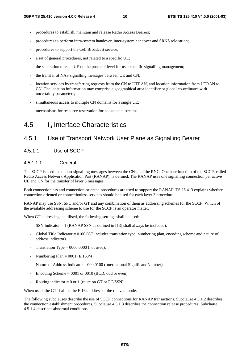- procedures to establish, maintain and release Radio Access Bearers;
- procedures to perform intra-system handover, inter-system handover and SRNS relocation;
- procedures to support the Cell Broadcast service;
- a set of general procedures, not related to a specific UE;
- the separation of each UE on the protocol level for user specific signalling management;
- the transfer of NAS signalling messages between UE and CN;
- location services by transferring requests from the CN to UTRAN, and location information from UTRAN to CN. The location information may comprise a geographical area identifier or global co-ordinates with uncertainty parameters;
- simultaneous access to multiple CN domains for a single UE;
- mechanisms for resource reservation for packet data streams.

### 4.5 Iu Interface Characteristics

### 4.5.1 Use of Transport Network User Plane as Signalling Bearer

#### 4.5.1.1 Use of SCCP

#### 4.5.1.1.1 General

The SCCP is used to support signalling messages between the CNs and the RNC. One user function of the SCCP, called Radio Access Network Application Part (RANAP), is defined. The RANAP uses one signalling connection per active UE and CN for the transfer of layer 3 messages.

Both connectionless and connection-oriented procedures are used to support the RANAP. TS 25.413 explains whether connection oriented or connectionless services should be used for each layer 3 procedure.

RANAP may use SSN, SPC and/or GT and any combination of them as addressing schemes for the SCCP. Which of the available addressing scheme to use for the SCCP is an operator matter.

When GT addressing is utilised, the following settings shall be used:

- SSN Indicator  $= 1$  (RANAP SSN as defined in [13] shall always be included).
- Global Title Indicator  $= 0100$  (GT includes translation type, numbering plan, encoding scheme and nature of address indicator).
- Translation Type  $= 0000 0000$  (not used).
- Numbering Plan =  $0001$  (E.163/4).
- Nature of Address Indicator =  $000\,0100$  (International Significant Number).
- Encoding Scheme  $= 0001$  or 0010 (BCD, odd or even).
- Routing indicator = 0 or 1 (route on GT or PC/SSN).

When used, the GT shall be the E.164 address of the relevant node.

The following subclauses describe the use of SCCP connections for RANAP transactions. Subclause 4.5.1.2 describes the connection establishment procedures. Subclause 4.5.1.3 describes the connection release procedures. Subclause 4.5.1.4 describes abnormal conditions.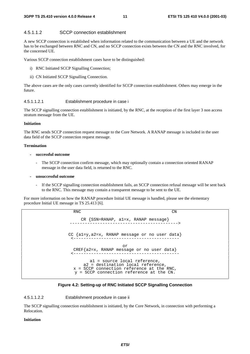#### 4.5.1.1.2 SCCP connection establishment

A new SCCP connection is established when information related to the communication between a UE and the network has to be exchanged between RNC and CN, and no SCCP connection exists between the CN and the RNC involved, for the concerned UE.

Various SCCP connection establishment cases have to be distinguished:

- i) RNC Initiated SCCP Signalling Connection;
- ii) CN Initiated SCCP Signalling Connection.

The above cases are the only cases currently identified for SCCP connection establishment. Others may emerge in the future.

#### 4.5.1.1.2.1 Establishment procedure in case i

The SCCP signalling connection establishment is initiated, by the RNC, at the reception of the first layer 3 non access stratum message from the UE.

#### **Initiation**

The RNC sends SCCP connection request message to the Core Network. A RANAP message is included in the user data field of the SCCP connection request message.

#### **Termination**

#### **- successful outcome**

The SCCP connection confirm message, which may optionally contain a connection oriented RANAP message in the user data field, is returned to the RNC.

#### **- unsuccessful outcome**

If the SCCP signalling connection establishment fails, an SCCP connection refusal message will be sent back to the RNC. This message may contain a transparent message to be sent to the UE.

For more information on how the RANAP procedure Initial UE message is handled, please see the elementary procedure Initial UE message in TS 25.413 [6].

> RNC CN CR {SSN=RANAP, a1=x, RANAP message} -------------------------------------------> CC {a1=y,a2=x, RANAP message or no user data} <----------------------------------------- or CREF{a2=x, RANAP message or no user data} <----------------------------------------- a1 = source local reference, a2 = destination local reference, x = SCCP connection reference at the RNC, y = SCCP connection reference at the CN.

#### **Figure 4.2: Setting-up of RNC Initiated SCCP Signalling Connection**

4.5.1.1.2.2 Establishment procedure in case ii

The SCCP signalling connection establishment is initiated, by the Core Network, in connection with performing a Relocation.

#### **Initiation**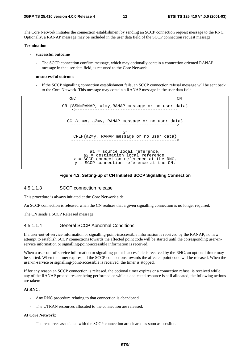The Core Network initiates the connection establishment by sending an SCCP connection request message to the RNC. Optionally, a RANAP message may be included in the user data field of the SCCP connection request message.

#### **Termination**

- **successful outcome** 
	- The SCCP connection confirm message, which may optionally contain a connection oriented RANAP message in the user data field, is returned to the Core Network.
- **unsuccessful outcome** 
	- If the SCCP signalling connection establishment fails, an SCCP connection refusal message will be sent back to the Core Network. This message may contain a RANAP message in the user data field.

RNC CN CR {SSN=RANAP, a1=y,RANAP message or no user data} <----------------------------------------- CC {a1=x, a2=y, RANAP message or no user data} ------------------------------------------> or CREF{a2=y, RANAP message or no user data} ------------------------------------------> a1 = source local reference, a2 = destination local reference, x = SCCP connection reference at the RNC, y = SCCP connection reference at the CN.

#### **Figure 4.3: Setting-up of CN Initiated SCCP Signalling Connection**

#### 4.5.1.1.3 SCCP connection release

This procedure is always initiated at the Core Network side.

An SCCP connection is released when the CN realises that a given signalling connection is no longer required.

The CN sends a SCCP Released message.

#### 4.5.1.1.4 General SCCP Abnormal Conditions

If a user-out-of-service information or signalling-point-inaccessible information is received by the RANAP, no new attempt to establish SCCP connections towards the affected point code will be started until the corresponding user-inservice information or signalling-point-accessible information is received.

When a user-out-of-service information or signalling-point-inaccessible is received by the RNC, an optional timer may be started. When the timer expires, all the SCCP connections towards the affected point code will be released. When the user-in-service or signalling-point-accessible is received, the timer is stopped.

If for any reason an SCCP connection is released, the optional timer expires or a connection refusal is received while any of the RANAP procedures are being performed or while a dedicated resource is still allocated, the following actions are taken:

#### **At RNC:**

- Any RNC procedure relating to that connection is abandoned.
- The UTRAN resources allocated to the connection are released.

#### **At Core Network:**

The resources associated with the SCCP connection are cleared as soon as possible.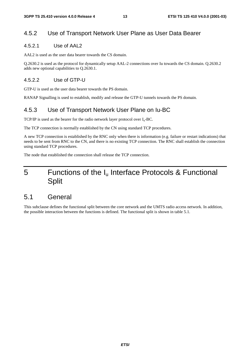### 4.5.2 Use of Transport Network User Plane as User Data Bearer

#### 4.5.2.1 Use of AAL2

AAL2 is used as the user data bearer towards the CS domain.

Q.2630.2 is used as the protocol for dynamically setup AAL-2 connections over Iu towards the CS domain. Q.2630.2 adds new optional capabilities to Q.2630.1.

#### 4.5.2.2 Use of GTP-U

GTP-U is used as the user data bearer towards the PS domain.

RANAP Signalling is used to establish, modify and release the GTP-U tunnels towards the PS domain.

#### 4.5.3 Use of Transport Network User Plane on Iu-BC

TCP/IP is used as the bearer for the radio network layer protocol over  $I_u$ -BC.

The TCP connection is normally established by the CN using standard TCP procedures.

A new TCP connection is established by the RNC only when there is information (e.g. failure or restart indications) that needs to be sent from RNC to the CN, and there is no existing TCP connection. The RNC shall establish the connection using standard TCP procedures.

The node that established the connection shall release the TCP connection.

## 5 Functions of the I<sub>u</sub> Interface Protocols & Functional Split

### 5.1 General

This subclause defines the functional split between the core network and the UMTS radio access network. In addition, the possible interaction between the functions is defined. The functional split is shown in table 5.1.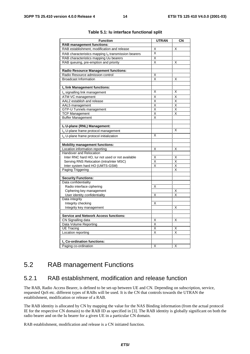| <b>Function</b>                                                                 | <b>UTRAN</b> | CN |
|---------------------------------------------------------------------------------|--------------|----|
| <b>RAB management functions:</b>                                                |              |    |
| RAB establishment, modification and release                                     | Χ            | Χ  |
| RAB characteristics mapping I <sub>u</sub> transmission bearers                 | X            |    |
|                                                                                 |              |    |
| RAB characteristics mapping Uu bearers                                          | Χ<br>X       |    |
| RAB queuing, pre-emption and priority                                           |              | х  |
|                                                                                 |              |    |
| <b>Radio Resource Management functions:</b><br>Radio Resource admission control | Χ            |    |
| <b>Broadcast Information</b>                                                    | X            | Χ  |
|                                                                                 |              |    |
| Iu link Management functions:                                                   |              |    |
| Iu signalling link management                                                   | X            | X  |
| ATM VC management                                                               | X            | X  |
| AAL2 establish and release                                                      | X            | X  |
|                                                                                 | Χ            | Χ  |
| AAL5 management<br><b>GTP-U Tunnels management</b>                              | X            | X  |
| <b>TCP Management</b>                                                           | Χ            | X  |
| <b>Buffer Management</b>                                                        | x            |    |
|                                                                                 |              |    |
| Iu U-plane (RNL) Management:                                                    |              |    |
| I <sub>n</sub> U-plane frame protocol management                                |              | Χ  |
|                                                                                 | x            |    |
| I <sub>n</sub> U-plane frame protocol initialization                            |              |    |
| <b>Mobility management functions:</b>                                           |              |    |
| Location information reporting                                                  | X            | Χ  |
| Handover and Relocation                                                         |              |    |
| Inter RNC hard HO, lur not used or not available                                | Χ            | Χ  |
| Serving RNS Relocation (intra/inter MSC)                                        | Χ            | Χ  |
| Inter system hard HO (UMTS-GSM)                                                 | Χ            | Χ  |
| Paging Triggering                                                               |              | X  |
|                                                                                 |              |    |
| <b>Security Functions:</b>                                                      |              |    |
| Data confidentiality                                                            |              |    |
| Radio interface ciphering                                                       | Χ            |    |
| Ciphering key management                                                        |              | X  |
| User identity confidentiality                                                   | Χ            | X  |
| Data integrity                                                                  |              |    |
| Integrity checking                                                              | X            |    |
| Integrity key management                                                        |              | Χ  |
|                                                                                 |              |    |
| <b>Service and Network Access functions:</b>                                    |              |    |
| CN Signalling data                                                              | X            | X  |
| Data Volume Reporting                                                           | Χ            |    |
| <b>UE Tracing</b>                                                               | Χ            | Χ  |
| Location reporting                                                              | X            | X  |
|                                                                                 |              |    |
| I <sub>n</sub> Co-ordination functions:                                         |              |    |
| Paging co-ordination                                                            | X            | Χ  |

#### **Table 5.1: Iu interface functional split**

## 5.2 RAB management Functions

#### 5.2.1 RAB establishment, modification and release function

The RAB, Radio Access Bearer, is defined to be set-up between UE and CN. Depending on subscription, service, requested QoS etc. different types of RABs will be used. It is the CN that controls towards the UTRAN the establishment, modification or release of a RAB.

The RAB identity is allocated by CN by mapping the value for the NAS Binding information (from the actual protocol IE for the respective CN domain) to the RAB ID as specified in [3]. The RAB identity is globally significant on both the radio bearer and on the Iu bearer for a given UE in a particular CN domain.

RAB establishment, modification and release is a CN initiated function.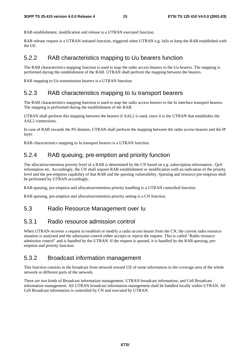RAB establishment, modification and release is a UTRAN executed function.

RAB release request is a UTRAN initiated function, triggered when UTRAN e.g. fails to keep the RAB established with the UE.

#### 5.2.2 RAB characteristics mapping to Uu bearers function

The RAB characteristics mapping function is used to map the radio access bearers to the Uu bearers. The mapping is performed during the establishment of the RAB. UTRAN shall perform the mapping between the bearers.

RAB mapping to Uu transmission bearers is a UTRAN function.

### 5.2.3 RAB characteristics mapping to Iu transport bearers

The RAB characteristics mapping function is used to map the radio access bearers to the Iu interface transport bearers. The mapping is performed during the establishment of the RAB.

UTRAN shall perform this mapping between the bearers if AAL2 is used, since it is the UTRAN that establishes the AAL2 connections.

In case of RAB towards the PS domain, UTRAN shall perform the mapping between the radio access bearers and the IP layer.

RAB characteristics mapping to Iu transport bearers is a UTRAN function.

#### 5.2.4 RAB queuing, pre-emption and priority function

The allocation/retention priority level of a RAB is determined by the CN based on e.g. subscription information , QoS information etc. Accordingly, the CN shall request RAB establishment or modification with an indication of the priority level and the pre-emption capability of that RAB and the queuing vulnerability. Queuing and resource pre-emption shall be performed by UTRAN accordingly.

RAB queuing, pre-emption and allocation/retention priority handling is a UTRAN controlled function.

RAB queuing, pre-emption and allocation/retention priority setting is a CN function.

#### 5.3 Radio Resource Management over Iu

#### 5.3.1 Radio resource admission control

When UTRAN receives a request to establish or modify a radio access bearer from the CN, the current radio resource situation is analysed and the admission control either accepts or rejects the request. This is called "Radio resource admission control" and is handled by the UTRAN. If the request is queued, it is handled by the RAB queuing, preemption and priority function.

#### 5.3.2 Broadcast information management

This function consists in the broadcast from network toward UE of some information in the coverage area of the whole network or different parts of the network.

There are two kinds of Broadcast information management. UTRAN broadcast information, and Cell Broadcast information management. All UTRAN broadcast information management shall be handled locally within UTRAN. All Cell Broadcast information is controlled by CN and executed by UTRAN.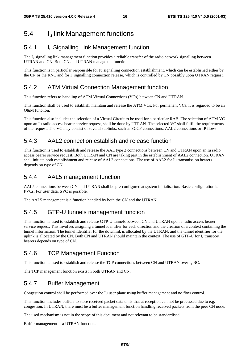## 5.4 Iu link Management functions

### 5.4.1 **I**<sub>u</sub> Signalling Link Management function

The  $I_{u}$  signalling link management function provides a reliable transfer of the radio network signalling between UTRAN and CN. Both CN and UTRAN manage the function.

This function is in particular responsible for Iu signalling connection establishment, which can be established either by the CN or the RNC and for  $I_u$  signalling connection release, which is controlled by CN possibly upon UTRAN request.

### 5.4.2 ATM Virtual Connection Management function

This function refers to handling of ATM Virtual Connections (VCs) between CN and UTRAN.

This function shall be used to establish, maintain and release the ATM VCs. For permanent VCs, it is regarded to be an O&M function.

This function also includes the selection of a Virtual Circuit to be used for a particular RAB. The selection of ATM VC upon an Iu radio access bearer service request, shall be done by UTRAN. The selected VC shall fulfil the requirements of the request. The VC may consist of several sublinks: such as SCCP connections, AAL2 connections or IP flows.

### 5.4.3 AAL2 connection establish and release function

This function is used to establish and release the AAL type 2 connections between CN and UTRAN upon an Iu radio access bearer service request. Both UTRAN and CN are taking part in the establishment of AAL2 connection. UTRAN shall initiate both establishment and release of AAL2 connections. The use of AAL2 for Iu transmission bearers depends on type of CN.

### 5.4.4 AAL5 management function

AAL5 connections between CN and UTRAN shall be pre-configured at system initialisation. Basic configuration is PVCs. For user data, SVC is possible.

The AAL5 management is a function handled by both the CN and the UTRAN.

### 5.4.5 GTP-U tunnels management function

This function is used to establish and release GTP-U tunnels between CN and UTRAN upon a radio access bearer service request. This involves assigning a tunnel identifier for each direction and the creation of a context containing the tunnel information. The tunnel identifier for the downlink is allocated by the UTRAN, and the tunnel identifier for the uplink is allocated by the CN. Both CN and UTRAN should maintain the context. The use of GTP-U for I<sub>u</sub> transport bearers depends on type of CN.

### 5.4.6 TCP Management Function

This function is used to establish and release the TCP connections between CN and UTRAN over  $I_{u}$ -BC.

The TCP management function exists in both UTRAN and CN.

### 5.4.7 Buffer Management

Congestion control shall be performed over the Iu user plane using buffer management and no flow control.

This function includes buffers to store received packet data units that at reception can not be processed due to e.g. congestion. In UTRAN, there must be a buffer management function handling received packets from the peer CN node.

The used mechanism is not in the scope of this document and not relevant to be standardised.

Buffer management is a UTRAN function.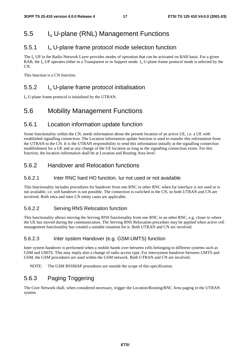## 5.5 I<sub>u</sub> U-plane (RNL) Management Functions

### 5.5.1 Iu U-plane frame protocol mode selection function

The  $I_{\rm u}$  UP in the Radio Network Layer provides modes of operation that can be activated on RAB basis. For a given RAB, the  $I_{\rm u}$  UP operates either in a Transparent or in Support mode.  $I_{\rm u}$  U-plane frame protocol mode is selected by the  $\overline{CN}$ 

This function is a CN function.

### 5.5.2 I<sub>u</sub> U-plane frame protocol initialisation

 $I_{u}$  U-plane frame protocol is initialised by the UTRAN.

## 5.6 Mobility Management Functions

### 5.6.1 Location information update function

Some functionality within the CN, needs information about the present location of an active UE, i.e. a UE with established signalling connection. The Location information update function is used to transfer this information from the UTRAN to the CN. It is the UTRAN responsibility to send this information initially at the signalling connection establishment for a UE and at any change of the UE location as long as the signalling connection exists. For this function, the location information shall be at Location and Routing Area level.

### 5.6.2 Handover and Relocation functions

#### 5.6.2.1 Inter RNC hard HO function, Iur not used or not available

This functionality includes procedures for handover from one RNC to other RNC when Iur interface is not used or is not available, i.e. soft handover is not possible. The connection is switched in the CN, so both UTRAN and CN are involved. Both intra and inter CN entity cases are applicable.

#### 5.6.2.2 Serving RNS Relocation function

This functionality allows moving the Serving RNS functionality from one RNC to an other RNC, e.g. closer to where the UE has moved during the communication. The Serving RNS Relocation procedure may be applied when active cell management functionality has created a suitable situation for it. Both UTRAN and CN are involved.

#### 5.6.2.3 Inter system Handover (e.g. GSM-UMTS) function

Inter system handover is performed when a mobile hands over between cells belonging to different systems such as GSM and UMTS. This may imply also a change of radio access type. For intersystem handover between UMTS and GSM, the GSM procedures are used within the GSM network. Both UTRAN and CN are involved.

NOTE: The GSM BSSMAP procedures are outside the scope of this specification.

### 5.6.3 Paging Triggering

The Core Network shall, when considered necessary, trigger the Location/Routing/RNC Area paging in the UTRAN system.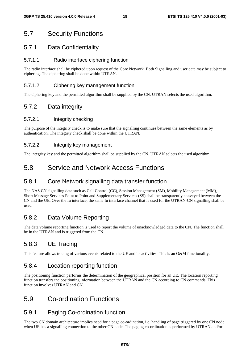### 5.7 Security Functions

#### 5.7.1 Data Confidentiality

#### 5.7.1.1 Radio interface ciphering function

The radio interface shall be ciphered upon request of the Core Network. Both Signalling and user data may be subject to ciphering. The ciphering shall be done within UTRAN.

#### 5.7.1.2 Ciphering key management function

The ciphering key and the permitted algorithm shall be supplied by the CN. UTRAN selects the used algorithm.

### 5.7.2 Data integrity

#### 5.7.2.1 Integrity checking

The purpose of the integrity check is to make sure that the signalling continues between the same elements as by authentication. The integrity check shall be done within the UTRAN.

#### 5.7.2.2 Integrity key management

The integrity key and the permitted algorithm shall be supplied by the CN. UTRAN selects the used algorithm.

### 5.8 Service and Network Access Functions

#### 5.8.1 Core Network signalling data transfer function

The NAS CN signalling data such as Call Control (CC), Session Management (SM), Mobility Management (MM), Short Message Services Point to Point and Supplementary Services (SS) shall be transparently conveyed between the CN and the UE. Over the Iu interface, the same Iu interface channel that is used for the UTRAN-CN signalling shall be used.

### 5.8.2 Data Volume Reporting

The data volume reporting function is used to report the volume of unacknowledged data to the CN. The function shall be in the UTRAN and is triggered from the CN.

### 5.8.3 UE Tracing

This feature allows tracing of various events related to the UE and its activities. This is an O&M functionality.

### 5.8.4 Location reporting function

The positioning function performs the determination of the geographical position for an UE. The location reporting function transfers the positioning information between the UTRAN and the CN according to CN commands. This function involves UTRAN and CN.

### 5.9 Co-ordination Functions

### 5.9.1 Paging Co-ordination function

The two CN domain architecture implies need for a page co-ordination, i.e. handling of page triggered by one CN node when UE has a signalling connection to the other CN node. The paging co-ordination is performed by UTRAN and/or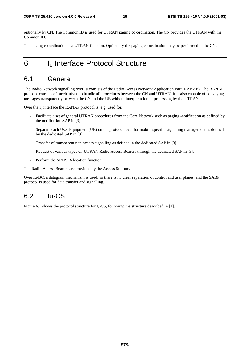optionally by CN. The Common ID is used for UTRAN paging co-ordination. The CN provides the UTRAN with the Common ID.

The paging co-ordination is a UTRAN function. Optionally the paging co-ordination may be performed in the CN.

## 6 I<sub>u</sub> Interface Protocol Structure

## 6.1 General

The Radio Network signalling over Iu consists of the Radio Access Network Application Part (RANAP). The RANAP protocol consists of mechanisms to handle all procedures between the CN and UTRAN. It is also capable of conveying messages transparently between the CN and the UE without interpretation or processing by the UTRAN.

Over the  $I_u$  interface the RANAP protocol is, e.g. used for:

- Facilitate a set of general UTRAN procedures from the Core Network such as paging -notification as defined by the notification SAP in [3].
- Separate each User Equipment (UE) on the protocol level for mobile specific signalling management as defined by the dedicated SAP in [3].
- Transfer of transparent non-access signalling as defined in the dedicated SAP in [3].
- Request of various types of UTRAN Radio Access Bearers through the dedicated SAP in [3].
- Perform the SRNS Relocation function.

The Radio Access Bearers are provided by the Access Stratum.

Over Iu-BC, a datagram mechanism is used, so there is no clear separation of control and user planes, and the SABP protocol is used for data transfer and signalling.

### 6.2 Iu-CS

Figure 6.1 shows the protocol structure for  $I<sub>u</sub>$ -CS, following the structure described in [1].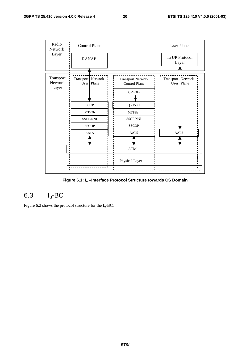

**Figure 6.1: Iu –Interface Protocol Structure towards CS Domain** 

## 6.3 Iu-BC

Figure 6.2 shows the protocol structure for the  $I_u$ -BC.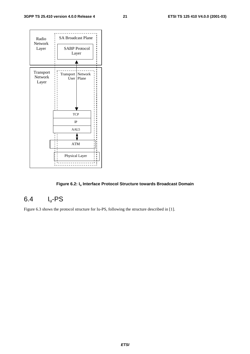

#### **Figure 6.2: Iu Interface Protocol Structure towards Broadcast Domain**

## 6.4 Iu-PS

Figure 6.3 shows the protocol structure for Iu-PS, following the structure described in [1].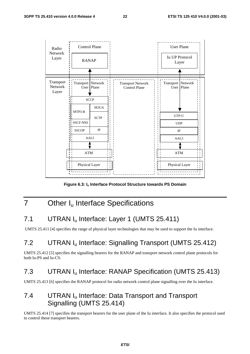

**Figure 6.3: Iu Interface Protocol Structure towards PS Domain** 

## 7 Other I<sub>u</sub> Interface Specifications

## 7.1 UTRAN I<sub>u</sub> Interface: Layer 1 (UMTS 25.411)

UMTS 25.411 [4] specifies the range of physical layer technologies that may be used to support the Iu interface.

## 7.2 UTRAN Iu Interface: Signalling Transport (UMTS 25.412)

UMTS 25.412 [5] specifies the signalling bearers for the RANAP and transport network control plane protocols for both Iu-PS and Iu-CS.

## 7.3 UTRAN Iu Interface: RANAP Specification (UMTS 25.413)

UMTS 25.413 [6] specifies the RANAP protocol for radio network control plane signalling over the Iu interface.

## 7.4 UTRAN I<sub>u</sub> Interface: Data Transport and Transport Signalling (UMTS 25.414)

UMTS 25.414 [7] specifies the transport bearers for the user plane of the Iu interface. It also specifies the protocol used to control these transport bearers.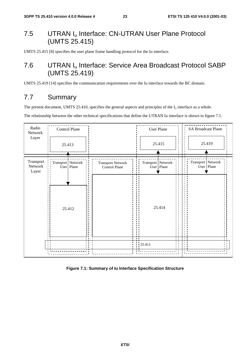## 7.5 UTRAN Iu Interface: CN-UTRAN User Plane Protocol (UMTS 25.415)

UMTS 25.415 [8] specifies the user plane frame handling protocol for the Iu interface.

## 7.6 UTRAN Iu Interface: Service Area Broadcast Protocol SABP (UMTS 25.419)

UMTS 25.419 [14] specifies the communication requirements over the Iu interface towards the BC domain.

## 7.7 Summary

The present document, UMTS 25.410, specifies the general aspects and principles of the  $I_u$  interface as a whole.

The relationship between the other technical specifications that define the UTRAN Iu interface is shown in figure 7.1.



**Figure 7.1: Summary of Iu Interface Specification Structure**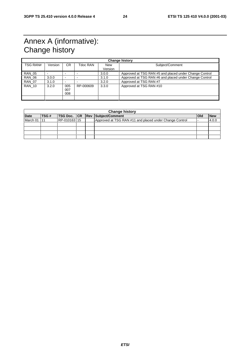## Annex A (informative): Change history

| <b>Change history</b> |         |                          |           |                |                                                        |  |
|-----------------------|---------|--------------------------|-----------|----------------|--------------------------------------------------------|--|
| <b>TSG RAN#</b>       | Version | CR.                      | Tdoc RAN  | New<br>Version | Subject/Comment                                        |  |
|                       |         |                          |           |                |                                                        |  |
| <b>RAN 05</b>         |         | $\overline{\phantom{0}}$ |           | 3.0.0          | Approved at TSG RAN #5 and placed under Change Control |  |
| <b>RAN 06</b>         | 3.0.0   | $\overline{\phantom{0}}$ |           | 3.1.0          | Approved at TSG RAN #6 and placed under Change Control |  |
| <b>RAN 07</b>         | 3.1.0   | $\overline{\phantom{0}}$ |           | 3.2.0          | Approved at TSG RAN #7                                 |  |
| <b>RAN 10</b>         | 3.2.0   | 005<br>007<br>008        | RP-000609 | 3.3.0          | Approved at TSG RAN #10                                |  |
|                       |         |                          |           |                |                                                        |  |

|             | <b>Change history</b> |              |  |  |                                                         |     |            |
|-------------|-----------------------|--------------|--|--|---------------------------------------------------------|-----|------------|
| <b>Date</b> | TSG#                  |              |  |  | TSG Doc.   CR   Rev   Subject/Comment                   | Old | <b>New</b> |
| March 01    | 111                   | RP-010163115 |  |  | Approved at TSG RAN #11 and placed under Change Control |     | 4.0.0      |
|             |                       |              |  |  |                                                         |     |            |
|             |                       |              |  |  |                                                         |     |            |
|             |                       |              |  |  |                                                         |     |            |
|             |                       |              |  |  |                                                         |     |            |